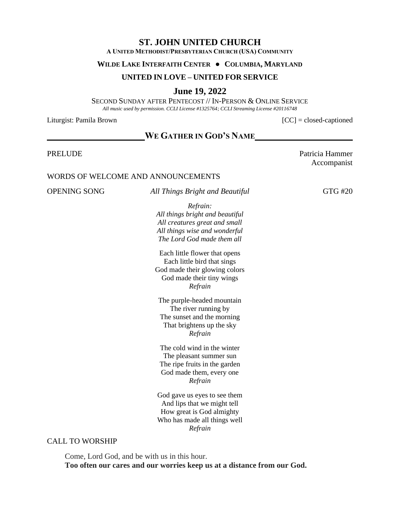## **ST. JOHN UNITED CHURCH**

**A UNITED METHODIST/PRESBYTERIAN CHURCH (USA) COMMUNITY**

### **WILDE LAKE INTERFAITH CENTER ● COLUMBIA, MARYLAND**

### **UNITED IN LOVE – UNITED FOR SERVICE**

**June 19, 2022**

SECOND SUNDAY AFTER PENTECOST // IN-PERSON & ONLINE SERVICE *All music used by permission. CCLI License #1325764; CCLI Streaming License #20116748*

Liturgist: Pamila Brown [CC] = closed-captioned

## **WE GATHER IN GOD'S NAME**

PRELUDE PARELUDE PARELUDE PARELUDE PARELUDE PARELUDE PARELUDE Accompanist

### WORDS OF WELCOME AND ANNOUNCEMENTS

OPENING SONG *All Things Bright and Beautiful* GTG #20

*Refrain: All things bright and beautiful All creatures great and small All things wise and wonderful The Lord God made them all*

Each little flower that opens Each little bird that sings God made their glowing colors God made their tiny wings *Refrain*

The purple-headed mountain The river running by The sunset and the morning That brightens up the sky *Refrain*

The cold wind in the winter The pleasant summer sun The ripe fruits in the garden God made them, every one *Refrain*

God gave us eyes to see them And lips that we might tell How great is God almighty Who has made all things well *Refrain*

CALL TO WORSHIP

Come, Lord God, and be with us in this hour. **Too often our cares and our worries keep us at a distance from our God.**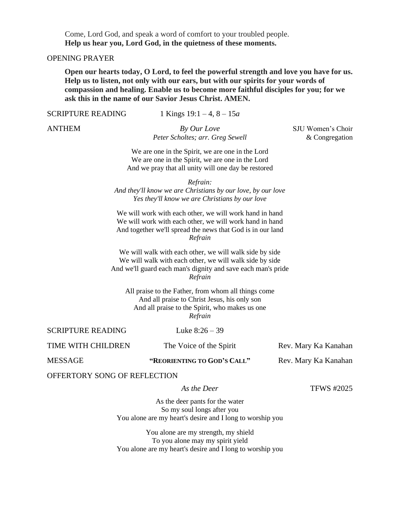Come, Lord God, and speak a word of comfort to your troubled people. **Help us hear you, Lord God, in the quietness of these moments.**

## OPENING PRAYER

**Open our hearts today, O Lord, to feel the powerful strength and love you have for us. Help us to listen, not only with our ears, but with our spirits for your words of compassion and healing. Enable us to become more faithful disciples for you; for we ask this in the name of our Savior Jesus Christ. AMEN.**

SCRIPTURE READING  $1$  Kings  $19:1 - 4$ ,  $8 - 15a$ 

ANTHEM *By Our Love* SJU Women's Choir *Peter Scholtes; arr. Greg Sewell* & Congregation

We are one in the Spirit, we are one in the Lord We are one in the Spirit, we are one in the Lord And we pray that all unity will one day be restored

*Refrain: And they'll know we are Christians by our love, by our love Yes they'll know we are Christians by our love*

We will work with each other, we will work hand in hand We will work with each other, we will work hand in hand And together we'll spread the news that God is in our land *Refrain*

We will walk with each other, we will walk side by side We will walk with each other, we will walk side by side And we'll guard each man's dignity and save each man's pride *Refrain*

All praise to the Father, from whom all things come And all praise to Christ Jesus, his only son And all praise to the Spirit, who makes us one *Refrain*

SCRIPTURE READING Luke 8:26 - 39

TIME WITH CHILDREN The Voice of the Spirit Rev. Mary Ka Kanahan

### MESSAGE **"REORIENTING TO GOD'S CALL"** Rev. Mary Ka Kanahan

OFFERTORY SONG OF REFLECTION

*As the Deer* TFWS #2025

As the deer pants for the water So my soul longs after you You alone are my heart's desire and I long to worship you

You alone are my strength, my shield To you alone may my spirit yield You alone are my heart's desire and I long to worship you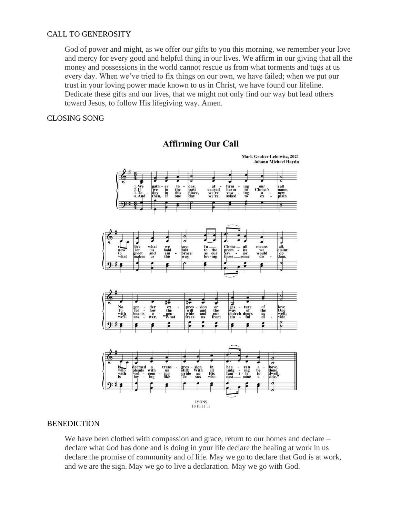## CALL TO GENEROSITY

God of power and might, as we offer our gifts to you this morning, we remember your love and mercy for every good and helpful thing in our lives. We affirm in our giving that all the money and possessions in the world cannot rescue us from what torments and tugs at us every day. When we've tried to fix things on our own, we have failed; when we put our trust in your loving power made known to us in Christ, we have found our lifeline. Dedicate these gifts and our lives, that we might not only find our way but lead others toward Jesus, to follow His lifegiving way. Amen.

## CLOSING SONG



## **Affirming Our Call**

# BENEDICTION

We have been clothed with compassion and grace, return to our homes and declare – declare what God has done and is doing in your life declare the healing at work in us declare the promise of community and of life. May we go to declare that God is at work, and we are the sign. May we go to live a declaration. May we go with God.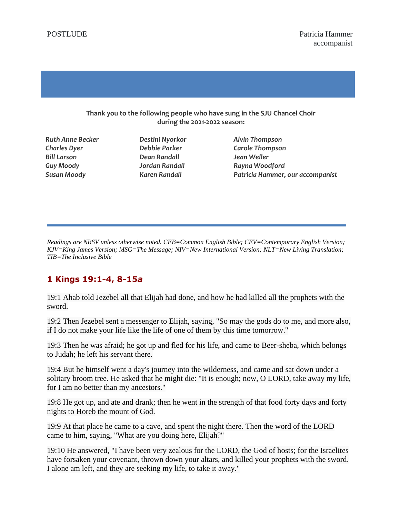## **Thank you to the following people who have sung in the SJU Chancel Choir during the 2021-2022 season:**

*Ruth Anne Becker Destini Nyorkor Alvin Thompson Charles Dyer Debbie Parker Carole Thompson Bill Larson Dean Randall Jean Weller Guy Moody Jordan Randall Rayna Woodford*

*Susan Moody Karen Randall Patricia Hammer, our accompanist*

*Readings are NRSV unless otherwise noted. CEB=Common English Bible; CEV=Contemporary English Version; KJV=King James Version; MSG=The Message; NIV=New International Version; NLT=New Living Translation; TIB=The Inclusive Bible*

# **1 Kings 19:1-4, 8-15***a*

19:1 Ahab told Jezebel all that Elijah had done, and how he had killed all the prophets with the sword.

19:2 Then Jezebel sent a messenger to Elijah, saying, "So may the gods do to me, and more also, if I do not make your life like the life of one of them by this time tomorrow."

19:3 Then he was afraid; he got up and fled for his life, and came to Beer-sheba, which belongs to Judah; he left his servant there.

19:4 But he himself went a day's journey into the wilderness, and came and sat down under a solitary broom tree. He asked that he might die: "It is enough; now, O LORD, take away my life, for I am no better than my ancestors."

19:8 He got up, and ate and drank; then he went in the strength of that food forty days and forty nights to Horeb the mount of God.

19:9 At that place he came to a cave, and spent the night there. Then the word of the LORD came to him, saying, "What are you doing here, Elijah?"

19:10 He answered, "I have been very zealous for the LORD, the God of hosts; for the Israelites have forsaken your covenant, thrown down your altars, and killed your prophets with the sword. I alone am left, and they are seeking my life, to take it away."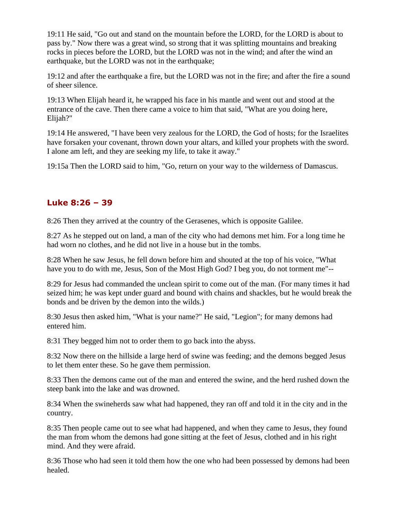19:11 He said, "Go out and stand on the mountain before the LORD, for the LORD is about to pass by." Now there was a great wind, so strong that it was splitting mountains and breaking rocks in pieces before the LORD, but the LORD was not in the wind; and after the wind an earthquake, but the LORD was not in the earthquake;

19:12 and after the earthquake a fire, but the LORD was not in the fire; and after the fire a sound of sheer silence.

19:13 When Elijah heard it, he wrapped his face in his mantle and went out and stood at the entrance of the cave. Then there came a voice to him that said, "What are you doing here, Elijah?"

19:14 He answered, "I have been very zealous for the LORD, the God of hosts; for the Israelites have forsaken your covenant, thrown down your altars, and killed your prophets with the sword. I alone am left, and they are seeking my life, to take it away."

19:15a Then the LORD said to him, "Go, return on your way to the wilderness of Damascus.

# **Luke 8:26 – 39**

8:26 Then they arrived at the country of the Gerasenes, which is opposite Galilee.

8:27 As he stepped out on land, a man of the city who had demons met him. For a long time he had worn no clothes, and he did not live in a house but in the tombs.

8:28 When he saw Jesus, he fell down before him and shouted at the top of his voice, "What have you to do with me, Jesus, Son of the Most High God? I beg you, do not torment me"--

8:29 for Jesus had commanded the unclean spirit to come out of the man. (For many times it had seized him; he was kept under guard and bound with chains and shackles, but he would break the bonds and be driven by the demon into the wilds.)

8:30 Jesus then asked him, "What is your name?" He said, "Legion"; for many demons had entered him.

8:31 They begged him not to order them to go back into the abyss.

8:32 Now there on the hillside a large herd of swine was feeding; and the demons begged Jesus to let them enter these. So he gave them permission.

8:33 Then the demons came out of the man and entered the swine, and the herd rushed down the steep bank into the lake and was drowned.

8:34 When the swineherds saw what had happened, they ran off and told it in the city and in the country.

8:35 Then people came out to see what had happened, and when they came to Jesus, they found the man from whom the demons had gone sitting at the feet of Jesus, clothed and in his right mind. And they were afraid.

8:36 Those who had seen it told them how the one who had been possessed by demons had been healed.